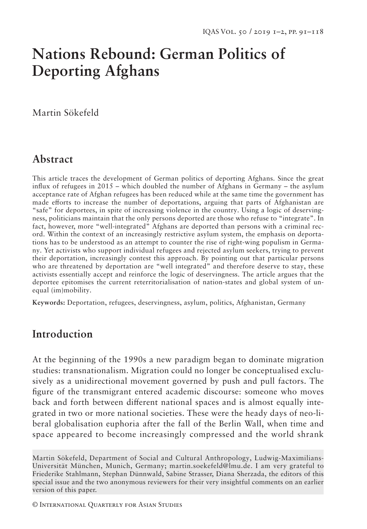# **Nations Rebound: German Politics of Deporting Afghans**

Martin Sökefeld

## **Abstract**

This article traces the development of German politics of deporting Afghans. Since the great influx of refugees in 2015 – which doubled the number of Afghans in Germany – the asylum acceptance rate of Afghan refugees has been reduced while at the same time the government has made efforts to increase the number of deportations, arguing that parts of Afghanistan are "safe" for deportees, in spite of increasing violence in the country. Using a logic of deservingness, politicians maintain that the only persons deported are those who refuse to "integrate". In fact, however, more "well-integrated" Afghans are deported than persons with a criminal record. Within the context of an increasingly restrictive asylum system, the emphasis on deportations has to be understood as an attempt to counter the rise of right-wing populism in Germany. Yet activists who support individual refugees and rejected asylum seekers, trying to prevent their deportation, increasingly contest this approach. By pointing out that particular persons who are threatened by deportation are "well integrated" and therefore deserve to stay, these activists essentially accept and reinforce the logic of deservingness. The article argues that the deportee epitomises the current reterritorialisation of nation-states and global system of unequal (im)mobility.

**Keywords:** Deportation, refugees, deservingness, asylum, politics, Afghanistan, Germany

## **Introduction**

At the beginning of the 1990s a new paradigm began to dominate migration studies: transnationalism. Migration could no longer be conceptualised exclusively as a unidirectional movement governed by push and pull factors. The figure of the transmigrant entered academic discourse: someone who moves back and forth between different national spaces and is almost equally integrated in two or more national societies. These were the heady days of neo-liberal globalisation euphoria after the fall of the Berlin Wall, when time and space appeared to become increasingly compressed and the world shrank

© International Quarterly for Asian Studies

Martin Sökefeld, Department of Social and Cultural Anthropology, Ludwig-Maximilians-Universität München, Munich, Germany; martin.soekefeld@lmu.de. I am very grateful to Friederike Stahlmann, Stephan Dünnwald, Sabine Strasser, Diana Sherzada, the editors of this special issue and the two anonymous reviewers for their very insightful comments on an earlier version of this paper.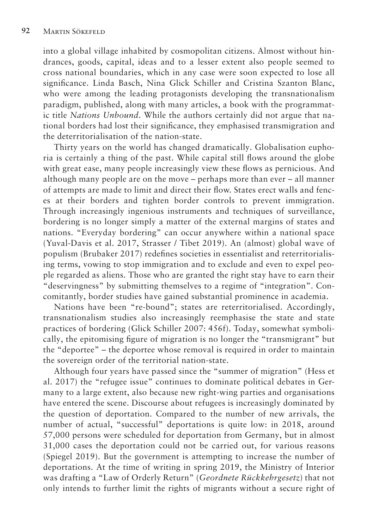into a global village inhabited by cosmopolitan citizens. Almost without hindrances, goods, capital, ideas and to a lesser extent also people seemed to cross national boundaries, which in any case were soon expected to lose all significance. Linda Basch, Nina Glick Schiller and Cristina Szanton Blanc, who were among the leading protagonists developing the transnationalism paradigm, published, along with many articles, a book with the programmatic title *Nations Unbound*. While the authors certainly did not argue that national borders had lost their significance, they emphasised transmigration and the deterritorialisation of the nation-state.

Thirty years on the world has changed dramatically. Globalisation euphoria is certainly a thing of the past. While capital still flows around the globe with great ease, many people increasingly view these flows as pernicious. And although many people are on the move – perhaps more than ever – all manner of attempts are made to limit and direct their flow. States erect walls and fences at their borders and tighten border controls to prevent immigration. Through increasingly ingenious instruments and techniques of surveillance, bordering is no longer simply a matter of the external margins of states and nations. "Everyday bordering" can occur anywhere within a national space (Yuval-Davis et al. 2017, Strasser / Tibet 2019). An (almost) global wave of populism (Brubaker 2017) redefines societies in essentialist and reterritorialising terms, vowing to stop immigration and to exclude and even to expel people regarded as aliens. Those who are granted the right stay have to earn their "deservingness" by submitting themselves to a regime of "integration". Concomitantly, border studies have gained substantial prominence in academia.

Nations have been "re-bound"; states are reterritorialised. Accordingly, transnationalism studies also increasingly reemphasise the state and state practices of bordering (Glick Schiller 2007: 456f). Today, somewhat symbolically, the epitomising figure of migration is no longer the "transmigrant" but the "deportee" – the deportee whose removal is required in order to maintain the sovereign order of the territorial nation-state.

Although four years have passed since the "summer of migration" (Hess et al. 2017) the "refugee issue" continues to dominate political debates in Germany to a large extent, also because new right-wing parties and organisations have entered the scene. Discourse about refugees is increasingly dominated by the question of deportation. Compared to the number of new arrivals, the number of actual, "successful" deportations is quite low: in 2018, around 57,000 persons were scheduled for deportation from Germany, but in almost 31,000 cases the deportation could not be carried out, for various reasons (Spiegel 2019). But the government is attempting to increase the number of deportations. At the time of writing in spring 2019, the Ministry of Interior was drafting a "Law of Orderly Return" (*Geordnete Rückkehrgesetz*) that not only intends to further limit the rights of migrants without a secure right of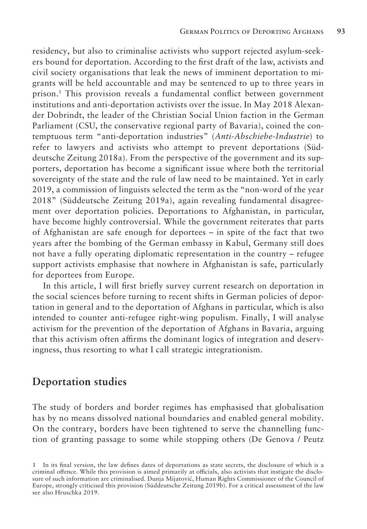residency, but also to criminalise activists who support rejected asylum-seekers bound for deportation. According to the first draft of the law, activists and civil society organisations that leak the news of imminent deportation to migrants will be held accountable and may be sentenced to up to three years in prison.1 This provision reveals a fundamental conflict between government institutions and anti-deportation activists over the issue. In May 2018 Alexander Dobrindt, the leader of the Christian Social Union faction in the German Parliament (CSU, the conservative regional party of Bavaria), coined the contemptuous term "anti-deportation industries" (*Anti-Abschiebe-Industrie*) to refer to lawyers and activists who attempt to prevent deportations (Süddeutsche Zeitung 2018a). From the perspective of the government and its supporters, deportation has become a significant issue where both the territorial sovereignty of the state and the rule of law need to be maintained. Yet in early 2019, a commission of linguists selected the term as the "non-word of the year 2018" (Süddeutsche Zeitung 2019a), again revealing fundamental disagreement over deportation policies. Deportations to Afghanistan, in particular, have become highly controversial. While the government reiterates that parts of Afghanistan are safe enough for deportees – in spite of the fact that two years after the bombing of the German embassy in Kabul, Germany still does not have a fully operating diplomatic representation in the country – refugee support activists emphasise that nowhere in Afghanistan is safe, particularly for deportees from Europe.

In this article, I will first briefly survey current research on deportation in the social sciences before turning to recent shifts in German policies of deportation in general and to the deportation of Afghans in particular, which is also intended to counter anti-refugee right-wing populism. Finally, I will analyse activism for the prevention of the deportation of Afghans in Bavaria, arguing that this activism often affirms the dominant logics of integration and deservingness, thus resorting to what I call strategic integrationism.

#### **Deportation studies**

The study of borders and border regimes has emphasised that globalisation has by no means dissolved national boundaries and enabled general mobility. On the contrary, borders have been tightened to serve the channelling function of granting passage to some while stopping others (De Genova / Peutz

<sup>1</sup> In its final version, the law defines dates of deportations as state secrets, the disclosure of which is a criminal offence. While this provision is aimed primarily at officials, also activists that instigate the disclosure of such information are criminalised. Dunja Mijatović, Human Rights Commissioner of the Council of Europe, strongly criticised this provision (Süddeutsche Zeitung 2019b). For a critical assessment of the law see also Hruschka 2019.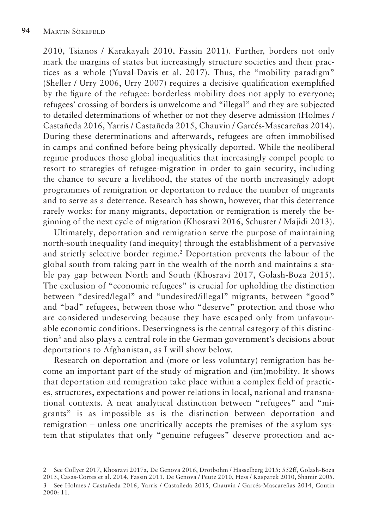2010, Tsianos / Karakayali 2010, Fassin 2011). Further, borders not only mark the margins of states but increasingly structure societies and their practices as a whole (Yuval-Davis et al. 2017). Thus, the "mobility paradigm" (Sheller / Urry 2006, Urry 2007) requires a decisive qualification exemplified by the figure of the refugee: borderless mobility does not apply to everyone; refugees' crossing of borders is unwelcome and "illegal" and they are subjected to detailed determinations of whether or not they deserve admission (Holmes / Castañeda 2016, Yarris / Castañeda 2015, Chauvin / Garcés-Mascareñas 2014). During these determinations and afterwards, refugees are often immobilised in camps and confined before being physically deported. While the neoliberal regime produces those global inequalities that increasingly compel people to resort to strategies of refugee-migration in order to gain security, including the chance to secure a livelihood, the states of the north increasingly adopt programmes of remigration or deportation to reduce the number of migrants and to serve as a deterrence. Research has shown, however, that this deterrence rarely works: for many migrants, deportation or remigration is merely the beginning of the next cycle of migration (Khosravi 2016, Schuster / Majidi 2013).

Ultimately, deportation and remigration serve the purpose of maintaining north-south inequality (and inequity) through the establishment of a pervasive and strictly selective border regime.2 Deportation prevents the labour of the global south from taking part in the wealth of the north and maintains a stable pay gap between North and South (Khosravi 2017, Golash-Boza 2015). The exclusion of "economic refugees" is crucial for upholding the distinction between "desired/legal" and "undesired/illegal" migrants, between "good" and "bad" refugees, between those who "deserve" protection and those who are considered undeserving because they have escaped only from unfavourable economic conditions. Deservingness is the central category of this distinction<sup>3</sup> and also plays a central role in the German government's decisions about deportations to Afghanistan, as I will show below.

Research on deportation and (more or less voluntary) remigration has become an important part of the study of migration and (im)mobility. It shows that deportation and remigration take place within a complex field of practices, structures, expectations and power relations in local, national and transnational contexts. A neat analytical distinction between "refugees" and "migrants" is as impossible as is the distinction between deportation and remigration – unless one uncritically accepts the premises of the asylum system that stipulates that only "genuine refugees" deserve protection and ac-

<sup>2</sup> See Collyer 2017, Khosravi 2017a, De Genova 2016, Drotbohm / Hasselberg 2015: 552ff, Golash-Boza 2015, Casas-Cortes et al. 2014, Fassin 2011, De Genova / Peutz 2010, Hess / Kasparek 2010, Shamir 2005. 3 See Holmes / Castañeda 2016, Yarris / Castañeda 2015, Chauvin / Garcés-Mascareñas 2014, Coutin 2000: 11.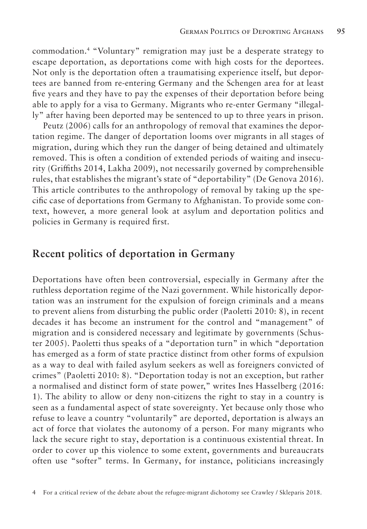commodation.4 "Voluntary" remigration may just be a desperate strategy to escape deportation, as deportations come with high costs for the deportees. Not only is the deportation often a traumatising experience itself, but deportees are banned from re-entering Germany and the Schengen area for at least five years and they have to pay the expenses of their deportation before being able to apply for a visa to Germany. Migrants who re-enter Germany "illegally" after having been deported may be sentenced to up to three years in prison.

Peutz (2006) calls for an anthropology of removal that examines the deportation regime. The danger of deportation looms over migrants in all stages of migration, during which they run the danger of being detained and ultimately removed. This is often a condition of extended periods of waiting and insecurity (Griffiths 2014, Lakha 2009), not necessarily governed by comprehensible rules, that establishes the migrant's state of "deportability" (De Genova 2016). This article contributes to the anthropology of removal by taking up the specific case of deportations from Germany to Afghanistan. To provide some context, however, a more general look at asylum and deportation politics and policies in Germany is required first.

#### **Recent politics of deportation in Germany**

Deportations have often been controversial, especially in Germany after the ruthless deportation regime of the Nazi government. While historically deportation was an instrument for the expulsion of foreign criminals and a means to prevent aliens from disturbing the public order (Paoletti 2010: 8), in recent decades it has become an instrument for the control and "management" of migration and is considered necessary and legitimate by governments (Schuster 2005). Paoletti thus speaks of a "deportation turn" in which "deportation has emerged as a form of state practice distinct from other forms of expulsion as a way to deal with failed asylum seekers as well as foreigners convicted of crimes" (Paoletti 2010: 8). "Deportation today is not an exception, but rather a normalised and distinct form of state power," writes Ines Hasselberg (2016: 1). The ability to allow or deny non-citizens the right to stay in a country is seen as a fundamental aspect of state sovereignty. Yet because only those who refuse to leave a country "voluntarily" are deported, deportation is always an act of force that violates the autonomy of a person. For many migrants who lack the secure right to stay, deportation is a continuous existential threat. In order to cover up this violence to some extent, governments and bureaucrats often use "softer" terms. In Germany, for instance, politicians increasingly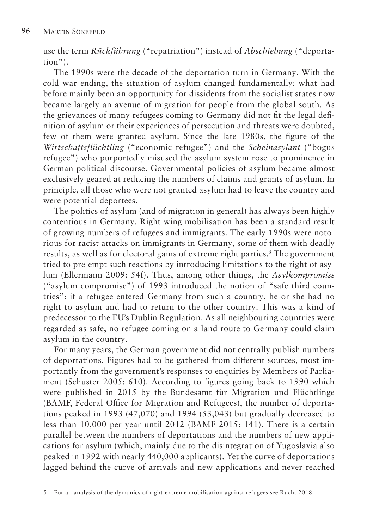use the term *Rückführung* ("repatriation") instead of *Abschiebung* ("deportation").

The 1990s were the decade of the deportation turn in Germany. With the cold war ending, the situation of asylum changed fundamentally: what had before mainly been an opportunity for dissidents from the socialist states now became largely an avenue of migration for people from the global south. As the grievances of many refugees coming to Germany did not fit the legal definition of asylum or their experiences of persecution and threats were doubted, few of them were granted asylum. Since the late 1980s, the figure of the *Wirtschaftsflüchtling* ("economic refugee") and the *Scheinasylant* ("bogus refugee") who purportedly misused the asylum system rose to prominence in German political discourse. Governmental policies of asylum became almost exclusively geared at reducing the numbers of claims and grants of asylum. In principle, all those who were not granted asylum had to leave the country and were potential deportees.

The politics of asylum (and of migration in general) has always been highly contentious in Germany. Right wing mobilisation has been a standard result of growing numbers of refugees and immigrants. The early 1990s were notorious for racist attacks on immigrants in Germany, some of them with deadly results, as well as for electoral gains of extreme right parties.<sup>5</sup> The government tried to pre-empt such reactions by introducing limitations to the right of asylum (Ellermann 2009: 54f). Thus, among other things, the *Asylkompromiss* ("asylum compromise") of 1993 introduced the notion of "safe third countries": if a refugee entered Germany from such a country, he or she had no right to asylum and had to return to the other country. This was a kind of predecessor to the EU's Dublin Regulation. As all neighbouring countries were regarded as safe, no refugee coming on a land route to Germany could claim asylum in the country.

For many years, the German government did not centrally publish numbers of deportations. Figures had to be gathered from different sources, most importantly from the government's responses to enquiries by Members of Parliament (Schuster 2005: 610). According to figures going back to 1990 which were published in 2015 by the Bundesamt für Migration und Flüchtlinge (BAMF, Federal Office for Migration and Refugees), the number of deportations peaked in 1993 (47,070) and 1994 (53,043) but gradually decreased to less than 10,000 per year until 2012 (BAMF 2015: 141). There is a certain parallel between the numbers of deportations and the numbers of new applications for asylum (which, mainly due to the disintegration of Yugoslavia also peaked in 1992 with nearly 440,000 applicants). Yet the curve of deportations lagged behind the curve of arrivals and new applications and never reached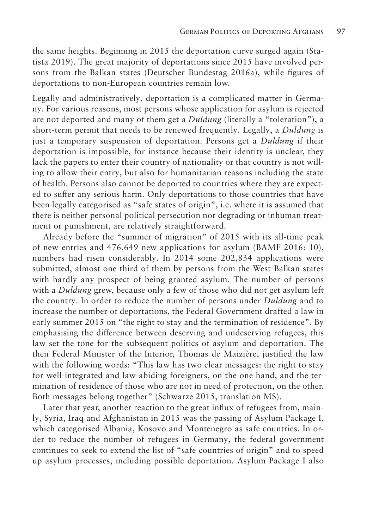the same heights. Beginning in 2015 the deportation curve surged again (Statista 2019). The great majority of deportations since 2015 have involved persons from the Balkan states (Deutscher Bundestag 2016a), while figures of deportations to non-European countries remain low.

Legally and administratively, deportation is a complicated matter in Germany. For various reasons, most persons whose application for asylum is rejected are not deported and many of them get a *Duldung* (literally a "toleration"), a short-term permit that needs to be renewed frequently. Legally, a *Duldung* is just a temporary suspension of deportation. Persons get a *Duldung* if their deportation is impossible, for instance because their identity is unclear, they lack the papers to enter their country of nationality or that country is not willing to allow their entry, but also for humanitarian reasons including the state of health. Persons also cannot be deported to countries where they are expected to suffer any serious harm. Only deportations to those countries that have been legally categorised as "safe states of origin", i.e. where it is assumed that there is neither personal political persecution nor degrading or inhuman treatment or punishment, are relatively straightforward.

Already before the "summer of migration" of 2015 with its all-time peak of new entries and 476,649 new applications for asylum (BAMF 2016: 10), numbers had risen considerably. In 2014 some 202,834 applications were submitted, almost one third of them by persons from the West Balkan states with hardly any prospect of being granted asylum. The number of persons with a *Duldung* grew, because only a few of those who did not get asylum left the country. In order to reduce the number of persons under *Duldung* and to increase the number of deportations, the Federal Government drafted a law in early summer 2015 on "the right to stay and the termination of residence". By emphasising the difference between deserving and undeserving refugees, this law set the tone for the subsequent politics of asylum and deportation. The then Federal Minister of the Interior, Thomas de Maizière, justified the law with the following words: "This law has two clear messages: the right to stay for well-integrated and law-abiding foreigners, on the one hand, and the termination of residence of those who are not in need of protection, on the other. Both messages belong together" (Schwarze 2015, translation MS).

Later that year, another reaction to the great influx of refugees from, mainly, Syria, Iraq and Afghanistan in 2015 was the passing of Asylum Package I, which categorised Albania, Kosovo and Montenegro as safe countries. In order to reduce the number of refugees in Germany, the federal government continues to seek to extend the list of "safe countries of origin" and to speed up asylum processes, including possible deportation. Asylum Package I also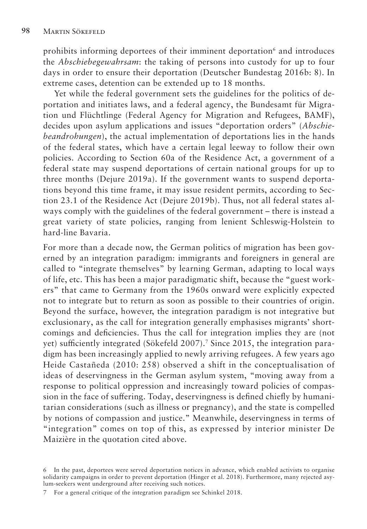prohibits informing deportees of their imminent deportation<sup>6</sup> and introduces the *Abschiebegewahrsam*: the taking of persons into custody for up to four days in order to ensure their deportation (Deutscher Bundestag 2016b: 8). In extreme cases, detention can be extended up to 18 months.

Yet while the federal government sets the guidelines for the politics of deportation and initiates laws, and a federal agency, the Bundesamt für Migration und Flüchtlinge (Federal Agency for Migration and Refugees, BAMF), decides upon asylum applications and issues "deportation orders" (*Abschiebeandrohungen*), the actual implementation of deportations lies in the hands of the federal states, which have a certain legal leeway to follow their own policies. According to Section 60a of the Residence Act, a government of a federal state may suspend deportations of certain national groups for up to three months (Dejure 2019a). If the government wants to suspend deportations beyond this time frame, it may issue resident permits, according to Section 23.1 of the Residence Act (Dejure 2019b). Thus, not all federal states always comply with the guidelines of the federal government – there is instead a great variety of state policies, ranging from lenient Schleswig-Holstein to hard-line Bavaria.

For more than a decade now, the German politics of migration has been governed by an integration paradigm: immigrants and foreigners in general are called to "integrate themselves" by learning German, adapting to local ways of life, etc. This has been a major paradigmatic shift, because the "guest workers" that came to Germany from the 1960s onward were explicitly expected not to integrate but to return as soon as possible to their countries of origin. Beyond the surface, however, the integration paradigm is not integrative but exclusionary, as the call for integration generally emphasises migrants' shortcomings and deficiencies. Thus the call for integration implies they are (not yet) sufficiently integrated (Sökefeld 2007).<sup>7</sup> Since 2015, the integration paradigm has been increasingly applied to newly arriving refugees. A few years ago Heide Castañeda (2010: 258) observed a shift in the conceptualisation of ideas of deservingness in the German asylum system, "moving away from a response to political oppression and increasingly toward policies of compassion in the face of suffering. Today, deservingness is defined chiefly by humanitarian considerations (such as illness or pregnancy), and the state is compelled by notions of compassion and justice." Meanwhile, deservingness in terms of "integration" comes on top of this, as expressed by interior minister De Maizière in the quotation cited above.

<sup>6</sup> In the past, deportees were served deportation notices in advance, which enabled activists to organise solidarity campaigns in order to prevent deportation (Hinger et al. 2018). Furthermore, many rejected asylum-seekers went underground after receiving such notices.

<sup>7</sup> For a general critique of the integration paradigm see Schinkel 2018.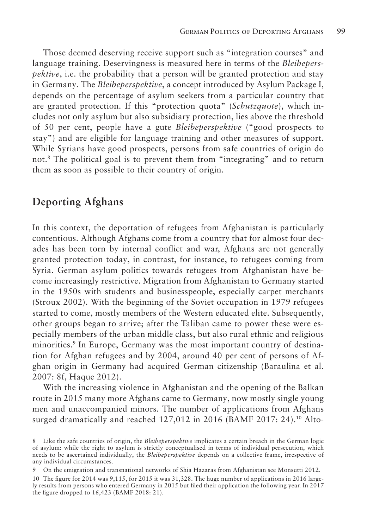Those deemed deserving receive support such as "integration courses" and language training. Deservingness is measured here in terms of the *Bleibeperspektive*, i.e. the probability that a person will be granted protection and stay in Germany. The *Bleibeperspektive*, a concept introduced by Asylum Package I, depends on the percentage of asylum seekers from a particular country that are granted protection. If this "protection quota" (*Schutzquote*), which includes not only asylum but also subsidiary protection, lies above the threshold of 50 per cent, people have a gute *Bleibeperspektive* ("good prospects to stay") and are eligible for language training and other measures of support. While Syrians have good prospects, persons from safe countries of origin do not.8 The political goal is to prevent them from "integrating" and to return them as soon as possible to their country of origin.

### **Deporting Afghans**

In this context, the deportation of refugees from Afghanistan is particularly contentious. Although Afghans come from a country that for almost four decades has been torn by internal conflict and war, Afghans are not generally granted protection today, in contrast, for instance, to refugees coming from Syria. German asylum politics towards refugees from Afghanistan have become increasingly restrictive. Migration from Afghanistan to Germany started in the 1950s with students and businesspeople, especially carpet merchants (Stroux 2002). With the beginning of the Soviet occupation in 1979 refugees started to come, mostly members of the Western educated elite. Subsequently, other groups began to arrive; after the Taliban came to power these were especially members of the urban middle class, but also rural ethnic and religious minorities.<sup>9</sup> In Europe, Germany was the most important country of destination for Afghan refugees and by 2004, around 40 per cent of persons of Afghan origin in Germany had acquired German citizenship (Baraulina et al. 2007: 8f, Haque 2012).

With the increasing violence in Afghanistan and the opening of the Balkan route in 2015 many more Afghans came to Germany, now mostly single young men and unaccompanied minors. The number of applications from Afghans surged dramatically and reached 127,012 in 2016 (BAMF 2017: 24).<sup>10</sup> Alto-

<sup>8</sup> Like the safe countries of origin, the *Bleibeperspektive* implicates a certain breach in the German logic of asylum: while the right to asylum is strictly conceptualised in terms of individual persecution, which needs to be ascertained individually, the *Bleibeperspektive* depends on a collective frame, irrespective of any individual circumstances.

<sup>9</sup> On the emigration and transnational networks of Shia Hazaras from Afghanistan see Monsutti 2012.

<sup>10</sup> The figure for 2014 was 9,115, for 2015 it was 31,328. The huge number of applications in 2016 largely results from persons who entered Germany in 2015 but filed their application the following year. In 2017 the figure dropped to 16,423 (BAMF 2018: 21).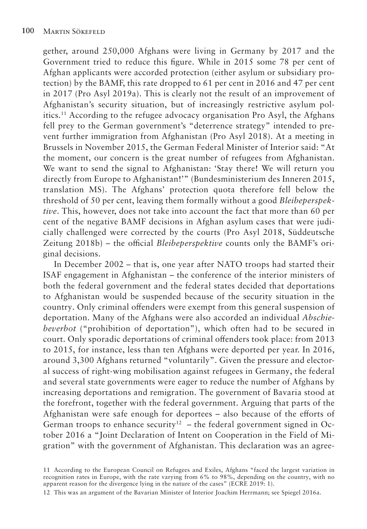gether, around 250,000 Afghans were living in Germany by 2017 and the Government tried to reduce this figure. While in 2015 some 78 per cent of Afghan applicants were accorded protection (either asylum or subsidiary protection) by the BAMF, this rate dropped to 61 per cent in 2016 and 47 per cent in 2017 (Pro Asyl 2019a). This is clearly not the result of an improvement of Afghanistan's security situation, but of increasingly restrictive asylum politics.11 According to the refugee advocacy organisation Pro Asyl, the Afghans fell prey to the German government's "deterrence strategy" intended to prevent further immigration from Afghanistan (Pro Asyl 2018). At a meeting in Brussels in November 2015, the German Federal Minister of Interior said: "At the moment, our concern is the great number of refugees from Afghanistan. We want to send the signal to Afghanistan: 'Stay there! We will return you directly from Europe to Afghanistan!" (Bundesministerium des Inneren 2015, translation MS). The Afghans' protection quota therefore fell below the threshold of 50 per cent, leaving them formally without a good *Bleibeperspektive*. This, however, does not take into account the fact that more than 60 per cent of the negative BAMF decisions in Afghan asylum cases that were judicially challenged were corrected by the courts (Pro Asyl 2018, Süddeutsche Zeitung 2018b) – the official *Bleibeperspektive* counts only the BAMF's original decisions.

In December 2002 – that is, one year after NATO troops had started their ISAF engagement in Afghanistan – the conference of the interior ministers of both the federal government and the federal states decided that deportations to Afghanistan would be suspended because of the security situation in the country. Only criminal offenders were exempt from this general suspension of deportation. Many of the Afghans were also accorded an individual *Abschiebeverbot* ("prohibition of deportation"), which often had to be secured in court. Only sporadic deportations of criminal offenders took place: from 2013 to 2015, for instance, less than ten Afghans were deported per year. In 2016, around 3,300 Afghans returned "voluntarily". Given the pressure and electoral success of right-wing mobilisation against refugees in Germany, the federal and several state governments were eager to reduce the number of Afghans by increasing deportations and remigration. The government of Bavaria stood at the forefront, together with the federal government. Arguing that parts of the Afghanistan were safe enough for deportees  $-$  also because of the efforts of German troops to enhance security<sup>12</sup> – the federal government signed in October 2016 a "Joint Declaration of Intent on Cooperation in the Field of Migration" with the government of Afghanistan. This declaration was an agree-

11 According to the European Council on Refugees and Exiles, Afghans "faced the largest variation in recognition rates in Europe, with the rate varying from 6% to 98%, depending on the country, with no apparent reason for the divergence lying in the nature of the cases" (ECRE 2019: 1).

12 This was an argument of the Bavarian Minister of Interior Joachim Herrmann; see Spiegel 2016a.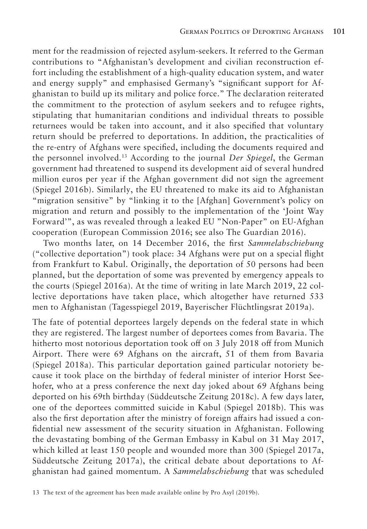ment for the readmission of rejected asylum-seekers. It referred to the German contributions to "Afghanistan's development and civilian reconstruction effort including the establishment of a high-quality education system, and water and energy supply" and emphasised Germany's "significant support for Afghanistan to build up its military and police force." The declaration reiterated the commitment to the protection of asylum seekers and to refugee rights, stipulating that humanitarian conditions and individual threats to possible returnees would be taken into account, and it also specified that voluntary return should be preferred to deportations. In addition, the practicalities of the re-entry of Afghans were specified, including the documents required and the personnel involved.13 According to the journal *Der Spiegel*, the German government had threatened to suspend its development aid of several hundred million euros per year if the Afghan government did not sign the agreement (Spiegel 2016b). Similarly, the EU threatened to make its aid to Afghanistan "migration sensitive" by "linking it to the [Afghan] Government's policy on migration and return and possibly to the implementation of the 'Joint Way Forward'", as was revealed through a leaked EU "Non-Paper" on EU-Afghan cooperation (European Commission 2016; see also The Guardian 2016).

Two months later, on 14 December 2016, the first *Sammelabschiebung* ("collective deportation") took place: 34 Afghans were put on a special flight from Frankfurt to Kabul. Originally, the deportation of 50 persons had been planned, but the deportation of some was prevented by emergency appeals to the courts (Spiegel 2016a). At the time of writing in late March 2019, 22 collective deportations have taken place, which altogether have returned 533 men to Afghanistan (Tagesspiegel 2019, Bayerischer Flüchtlingsrat 2019a).

The fate of potential deportees largely depends on the federal state in which they are registered. The largest number of deportees comes from Bavaria. The hitherto most notorious deportation took off on 3 July 2018 off from Munich Airport. There were 69 Afghans on the aircraft, 51 of them from Bavaria (Spiegel 2018a). This particular deportation gained particular notoriety because it took place on the birthday of federal minister of interior Horst Seehofer, who at a press conference the next day joked about 69 Afghans being deported on his 69th birthday (Süddeutsche Zeitung 2018c). A few days later, one of the deportees committed suicide in Kabul (Spiegel 2018b). This was also the first deportation after the ministry of foreign affairs had issued a confidential new assessment of the security situation in Afghanistan. Following the devastating bombing of the German Embassy in Kabul on 31 May 2017, which killed at least 150 people and wounded more than 300 (Spiegel 2017a, Süddeutsche Zeitung 2017a), the critical debate about deportations to Afghanistan had gained momentum. A *Sammelabschiebung* that was scheduled

<sup>13</sup> The text of the agreement has been made available online by Pro Asyl (2019b).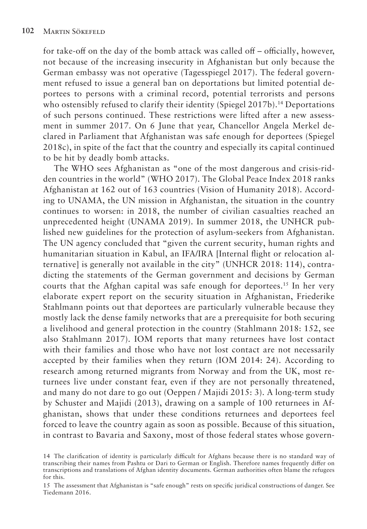for take-off on the day of the bomb attack was called off – officially, however, not because of the increasing insecurity in Afghanistan but only because the German embassy was not operative (Tagesspiegel 2017). The federal government refused to issue a general ban on deportations but limited potential deportees to persons with a criminal record, potential terrorists and persons who ostensibly refused to clarify their identity (Spiegel 2017b).<sup>14</sup> Deportations of such persons continued. These restrictions were lifted after a new assessment in summer 2017. On 6 June that year, Chancellor Angela Merkel declared in Parliament that Afghanistan was safe enough for deportees (Spiegel 2018c), in spite of the fact that the country and especially its capital continued to be hit by deadly bomb attacks.

The WHO sees Afghanistan as "one of the most dangerous and crisis-ridden countries in the world" (WHO 2017). The Global Peace Index 2018 ranks Afghanistan at 162 out of 163 countries (Vision of Humanity 2018). According to UNAMA, the UN mission in Afghanistan, the situation in the country continues to worsen: in 2018, the number of civilian casualties reached an unprecedented height (UNAMA 2019). In summer 2018, the UNHCR published new guidelines for the protection of asylum-seekers from Afghanistan. The UN agency concluded that "given the current security, human rights and humanitarian situation in Kabul, an IFA/IRA [Internal flight or relocation alternative] is generally not available in the city" (UNHCR 2018: 114), contradicting the statements of the German government and decisions by German courts that the Afghan capital was safe enough for deportees.<sup>15</sup> In her very elaborate expert report on the security situation in Afghanistan, Friederike Stahlmann points out that deportees are particularly vulnerable because they mostly lack the dense family networks that are a prerequisite for both securing a livelihood and general protection in the country (Stahlmann 2018: 152, see also Stahlmann 2017). IOM reports that many returnees have lost contact with their families and those who have not lost contact are not necessarily accepted by their families when they return (IOM 2014: 24). According to research among returned migrants from Norway and from the UK, most returnees live under constant fear, even if they are not personally threatened, and many do not dare to go out (Oeppen / Majidi 2015: 3). A long-term study by Schuster and Majidi (2013), drawing on a sample of 100 returnees in Afghanistan, shows that under these conditions returnees and deportees feel forced to leave the country again as soon as possible. Because of this situation, in contrast to Bavaria and Saxony, most of those federal states whose govern-

<sup>14</sup> The clarification of identity is particularly difficult for Afghans because there is no standard way of transcribing their names from Pashtu or Dari to German or English. Therefore names frequently differ on transcriptions and translations of Afghan identity documents. German authorities often blame the refugees for this.

<sup>15</sup> The assessment that Afghanistan is "safe enough" rests on specific juridical constructions of danger. See Tiedemann 2016.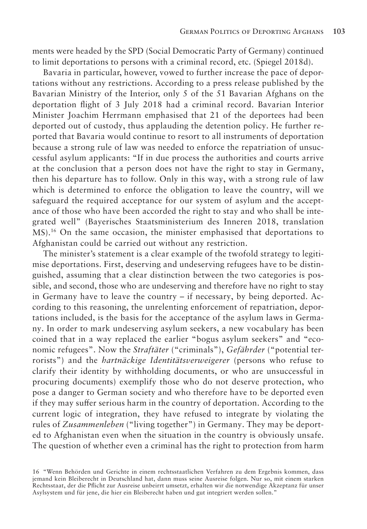ments were headed by the SPD (Social Democratic Party of Germany) continued to limit deportations to persons with a criminal record, etc. (Spiegel 2018d).

Bavaria in particular, however, vowed to further increase the pace of deportations without any restrictions. According to a press release published by the Bavarian Ministry of the Interior, only 5 of the 51 Bavarian Afghans on the deportation flight of 3 July 2018 had a criminal record. Bavarian Interior Minister Joachim Herrmann emphasised that 21 of the deportees had been deported out of custody, thus applauding the detention policy. He further reported that Bavaria would continue to resort to all instruments of deportation because a strong rule of law was needed to enforce the repatriation of unsuccessful asylum applicants: "If in due process the authorities and courts arrive at the conclusion that a person does not have the right to stay in Germany, then his departure has to follow. Only in this way, with a strong rule of law which is determined to enforce the obligation to leave the country, will we safeguard the required acceptance for our system of asylum and the acceptance of those who have been accorded the right to stay and who shall be integrated well" (Bayerisches Staatsministerium des Inneren 2018, translation MS).16 On the same occasion, the minister emphasised that deportations to Afghanistan could be carried out without any restriction.

The minister's statement is a clear example of the twofold strategy to legitimise deportations. First, deserving and undeserving refugees have to be distinguished, assuming that a clear distinction between the two categories is possible, and second, those who are undeserving and therefore have no right to stay in Germany have to leave the country – if necessary, by being deported. According to this reasoning, the unrelenting enforcement of repatriation, deportations included, is the basis for the acceptance of the asylum laws in Germany. In order to mark undeserving asylum seekers, a new vocabulary has been coined that in a way replaced the earlier "bogus asylum seekers" and "economic refugees". Now the *Straftäter* ("criminals"), *Gefährder* ("potential terrorists") and the *hartnäckige Identitätsverweigerer* (persons who refuse to clarify their identity by withholding documents, or who are unsuccessful in procuring documents) exemplify those who do not deserve protection, who pose a danger to German society and who therefore have to be deported even if they may suffer serious harm in the country of deportation. According to the current logic of integration, they have refused to integrate by violating the rules of *Zusammenleben* ("living together") in Germany. They may be deported to Afghanistan even when the situation in the country is obviously unsafe. The question of whether even a criminal has the right to protection from harm

<sup>16</sup> "Wenn Behörden und Gerichte in einem rechtsstaatlichen Verfahren zu dem Ergebnis kommen, dass jemand kein Bleiberecht in Deutschland hat, dann muss seine Ausreise folgen. Nur so, mit einem starken Rechtsstaat, der die Pflicht zur Ausreise unbeirrt umsetzt, erhalten wir die notwendige Akzeptanz für unser Asylsystem und für jene, die hier ein Bleiberecht haben und gut integriert werden sollen."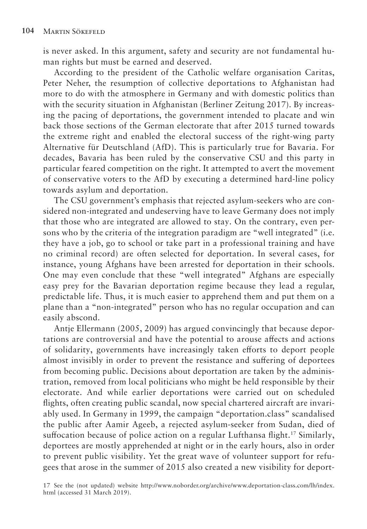is never asked. In this argument, safety and security are not fundamental human rights but must be earned and deserved.

According to the president of the Catholic welfare organisation Caritas, Peter Neher, the resumption of collective deportations to Afghanistan had more to do with the atmosphere in Germany and with domestic politics than with the security situation in Afghanistan (Berliner Zeitung 2017). By increasing the pacing of deportations, the government intended to placate and win back those sections of the German electorate that after 2015 turned towards the extreme right and enabled the electoral success of the right-wing party Alternative für Deutschland (AfD). This is particularly true for Bavaria. For decades, Bavaria has been ruled by the conservative CSU and this party in particular feared competition on the right. It attempted to avert the movement of conservative voters to the AfD by executing a determined hard-line policy towards asylum and deportation.

The CSU government's emphasis that rejected asylum-seekers who are considered non-integrated and undeserving have to leave Germany does not imply that those who are integrated are allowed to stay. On the contrary, even persons who by the criteria of the integration paradigm are "well integrated" (i.e. they have a job, go to school or take part in a professional training and have no criminal record) are often selected for deportation. In several cases, for instance, young Afghans have been arrested for deportation in their schools. One may even conclude that these "well integrated" Afghans are especially easy prey for the Bavarian deportation regime because they lead a regular, predictable life. Thus, it is much easier to apprehend them and put them on a plane than a "non-integrated" person who has no regular occupation and can easily abscond.

Antje Ellermann (2005, 2009) has argued convincingly that because deportations are controversial and have the potential to arouse affects and actions of solidarity, governments have increasingly taken efforts to deport people almost invisibly in order to prevent the resistance and suffering of deportees from becoming public. Decisions about deportation are taken by the administration, removed from local politicians who might be held responsible by their electorate. And while earlier deportations were carried out on scheduled flights, often creating public scandal, now special chartered aircraft are invariably used. In Germany in 1999, the campaign "deportation.class" scandalised the public after Aamir Ageeb, a rejected asylum-seeker from Sudan, died of suffocation because of police action on a regular Lufthansa flight.<sup>17</sup> Similarly, deportees are mostly apprehended at night or in the early hours, also in order to prevent public visibility. Yet the great wave of volunteer support for refugees that arose in the summer of 2015 also created a new visibility for deport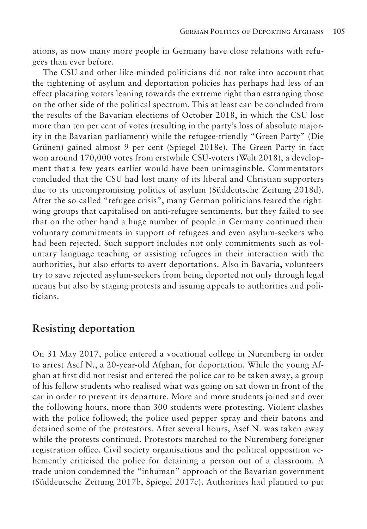ations, as now many more people in Germany have close relations with refugees than ever before.

The CSU and other like-minded politicians did not take into account that the tightening of asylum and deportation policies has perhaps had less of an effect placating voters leaning towards the extreme right than estranging those on the other side of the political spectrum. This at least can be concluded from the results of the Bavarian elections of October 2018, in which the CSU lost more than ten per cent of votes (resulting in the party's loss of absolute majority in the Bavarian parliament) while the refugee-friendly "Green Party" (Die Grünen) gained almost 9 per cent (Spiegel 2018e). The Green Party in fact won around 170,000 votes from erstwhile CSU-voters (Welt 2018), a development that a few years earlier would have been unimaginable. Commentators concluded that the CSU had lost many of its liberal and Christian supporters due to its uncompromising politics of asylum (Süddeutsche Zeitung 2018d). After the so-called "refugee crisis", many German politicians feared the rightwing groups that capitalised on anti-refugee sentiments, but they failed to see that on the other hand a huge number of people in Germany continued their voluntary commitments in support of refugees and even asylum-seekers who had been rejected. Such support includes not only commitments such as voluntary language teaching or assisting refugees in their interaction with the authorities, but also efforts to avert deportations. Also in Bavaria, volunteers try to save rejected asylum-seekers from being deported not only through legal means but also by staging protests and issuing appeals to authorities and politicians.

### **Resisting deportation**

On 31 May 2017, police entered a vocational college in Nuremberg in order to arrest Asef N., a 20-year-old Afghan, for deportation. While the young Afghan at first did not resist and entered the police car to be taken away, a group of his fellow students who realised what was going on sat down in front of the car in order to prevent its departure. More and more students joined and over the following hours, more than 300 students were protesting. Violent clashes with the police followed; the police used pepper spray and their batons and detained some of the protestors. After several hours, Asef N. was taken away while the protests continued. Protestors marched to the Nuremberg foreigner registration office. Civil society organisations and the political opposition vehemently criticised the police for detaining a person out of a classroom. A trade union condemned the "inhuman" approach of the Bavarian government (Süddeutsche Zeitung 2017b, Spiegel 2017c). Authorities had planned to put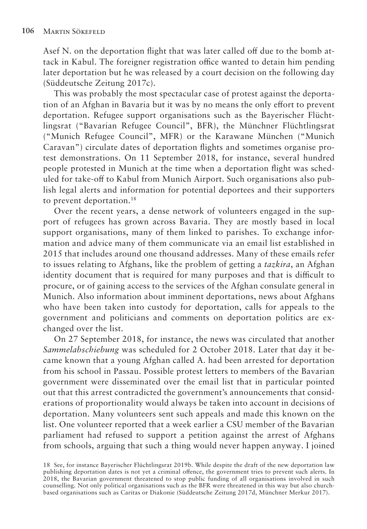Asef N. on the deportation flight that was later called off due to the bomb attack in Kabul. The foreigner registration office wanted to detain him pending later deportation but he was released by a court decision on the following day (Süddeutsche Zeitung 2017c).

This was probably the most spectacular case of protest against the deportation of an Afghan in Bavaria but it was by no means the only effort to prevent deportation. Refugee support organisations such as the Bayerischer Flüchtlingsrat ("Bavarian Refugee Council", BFR), the Münchner Flüchtlingsrat ("Munich Refugee Council", MFR) or the Karawane München ("Munich Caravan") circulate dates of deportation flights and sometimes organise protest demonstrations. On 11 September 2018, for instance, several hundred people protested in Munich at the time when a deportation flight was scheduled for take-off to Kabul from Munich Airport. Such organisations also publish legal alerts and information for potential deportees and their supporters to prevent deportation.<sup>18</sup>

Over the recent years, a dense network of volunteers engaged in the support of refugees has grown across Bavaria. They are mostly based in local support organisations, many of them linked to parishes. To exchange information and advice many of them communicate via an email list established in 2015 that includes around one thousand addresses. Many of these emails refer to issues relating to Afghans, like the problem of getting a *tazkira*, an Afghan identity document that is required for many purposes and that is difficult to procure, or of gaining access to the services of the Afghan consulate general in Munich. Also information about imminent deportations, news about Afghans who have been taken into custody for deportation, calls for appeals to the government and politicians and comments on deportation politics are exchanged over the list.

On 27 September 2018, for instance, the news was circulated that another *Sammelabschiebung* was scheduled for 2 October 2018. Later that day it became known that a young Afghan called A. had been arrested for deportation from his school in Passau. Possible protest letters to members of the Bavarian government were disseminated over the email list that in particular pointed out that this arrest contradicted the government's announcements that considerations of proportionality would always be taken into account in decisions of deportation. Many volunteers sent such appeals and made this known on the list. One volunteer reported that a week earlier a CSU member of the Bavarian parliament had refused to support a petition against the arrest of Afghans from schools, arguing that such a thing would never happen anyway. I joined

18 See, for instance Bayerischer Flüchtlingsrat 2019b. While despite the draft of the new deportation law publishing deportation dates is not yet a criminal offence, the government tries to prevent such alerts. In 2018, the Bavarian government threatened to stop public funding of all organisations involved in such counselling. Not only political organisations such as the BFR were threatened in this way but also churchbased organisations such as Caritas or Diakonie (Süddeutsche Zeitung 2017d, Münchner Merkur 2017).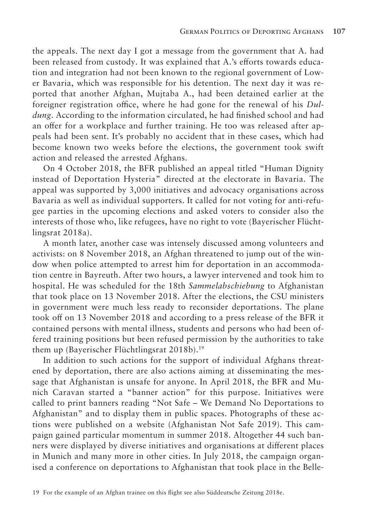the appeals. The next day I got a message from the government that A. had been released from custody. It was explained that A.'s efforts towards education and integration had not been known to the regional government of Lower Bavaria, which was responsible for his detention. The next day it was reported that another Afghan, Mujtaba A., had been detained earlier at the foreigner registration office, where he had gone for the renewal of his *Duldung*. According to the information circulated, he had finished school and had an offer for a workplace and further training. He too was released after appeals had been sent. It's probably no accident that in these cases, which had become known two weeks before the elections, the government took swift action and released the arrested Afghans.

On 4 October 2018, the BFR published an appeal titled "Human Dignity instead of Deportation Hysteria" directed at the electorate in Bavaria. The appeal was supported by 3,000 initiatives and advocacy organisations across Bavaria as well as individual supporters. It called for not voting for anti-refugee parties in the upcoming elections and asked voters to consider also the interests of those who, like refugees, have no right to vote (Bayerischer Flüchtlingsrat 2018a).

A month later, another case was intensely discussed among volunteers and activists: on 8 November 2018, an Afghan threatened to jump out of the window when police attempted to arrest him for deportation in an accommodation centre in Bayreuth. After two hours, a lawyer intervened and took him to hospital. He was scheduled for the 18th *Sammelabschiebung* to Afghanistan that took place on 13 November 2018. After the elections, the CSU ministers in government were much less ready to reconsider deportations. The plane took off on 13 November 2018 and according to a press release of the BFR it contained persons with mental illness, students and persons who had been offered training positions but been refused permission by the authorities to take them up (Bayerischer Flüchtlingsrat 2018b).19

In addition to such actions for the support of individual Afghans threatened by deportation, there are also actions aiming at disseminating the message that Afghanistan is unsafe for anyone. In April 2018, the BFR and Munich Caravan started a "banner action" for this purpose. Initiatives were called to print banners reading "Not Safe – We Demand No Deportations to Afghanistan" and to display them in public spaces. Photographs of these actions were published on a website (Afghanistan Not Safe 2019). This campaign gained particular momentum in summer 2018. Altogether 44 such banners were displayed by diverse initiatives and organisations at different places in Munich and many more in other cities. In July 2018, the campaign organised a conference on deportations to Afghanistan that took place in the Belle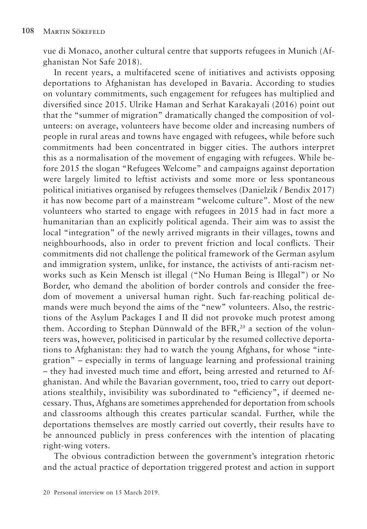vue di Monaco, another cultural centre that supports refugees in Munich (Afghanistan Not Safe 2018).

In recent years, a multifaceted scene of initiatives and activists opposing deportations to Afghanistan has developed in Bavaria. According to studies on voluntary commitments, such engagement for refugees has multiplied and diversified since 2015. Ulrike Haman and Serhat Karakayali (2016) point out that the "summer of migration" dramatically changed the composition of volunteers: on average, volunteers have become older and increasing numbers of people in rural areas and towns have engaged with refugees, while before such commitments had been concentrated in bigger cities. The authors interpret this as a normalisation of the movement of engaging with refugees. While before 2015 the slogan "Refugees Welcome" and campaigns against deportation were largely limited to leftist activists and some more or less spontaneous political initiatives organised by refugees themselves (Danielzik / Bendix 2017) it has now become part of a mainstream "welcome culture". Most of the new volunteers who started to engage with refugees in 2015 had in fact more a humanitarian than an explicitly political agenda. Their aim was to assist the local "integration" of the newly arrived migrants in their villages, towns and neighbourhoods, also in order to prevent friction and local conflicts. Their commitments did not challenge the political framework of the German asylum and immigration system, unlike, for instance, the activists of anti-racism networks such as Kein Mensch ist illegal ("No Human Being is Illegal") or No Border, who demand the abolition of border controls and consider the freedom of movement a universal human right. Such far-reaching political demands were much beyond the aims of the "new" volunteers. Also, the restrictions of the Asylum Packages I and II did not provoke much protest among them. According to Stephan Dünnwald of the BFR,<sup>20</sup> a section of the volunteers was, however, politicised in particular by the resumed collective deportations to Afghanistan: they had to watch the young Afghans, for whose "integration" – especially in terms of language learning and professional training – they had invested much time and effort, being arrested and returned to Afghanistan. And while the Bavarian government, too, tried to carry out deportations stealthily, invisibility was subordinated to "efficiency", if deemed necessary. Thus, Afghans are sometimes apprehended for deportation from schools and classrooms although this creates particular scandal. Further, while the deportations themselves are mostly carried out covertly, their results have to be announced publicly in press conferences with the intention of placating right-wing voters.

The obvious contradiction between the government's integration rhetoric and the actual practice of deportation triggered protest and action in support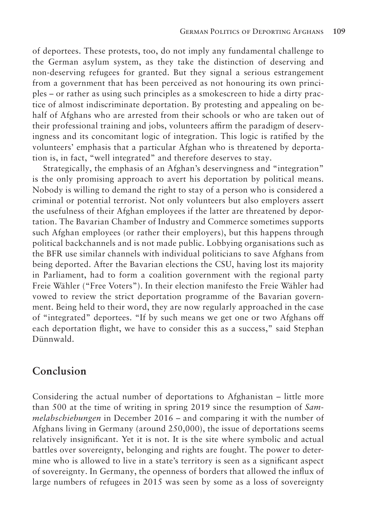of deportees. These protests, too, do not imply any fundamental challenge to the German asylum system, as they take the distinction of deserving and non-deserving refugees for granted. But they signal a serious estrangement from a government that has been perceived as not honouring its own principles – or rather as using such principles as a smokescreen to hide a dirty practice of almost indiscriminate deportation. By protesting and appealing on behalf of Afghans who are arrested from their schools or who are taken out of their professional training and jobs, volunteers affirm the paradigm of deservingness and its concomitant logic of integration. This logic is ratified by the volunteers' emphasis that a particular Afghan who is threatened by deportation is, in fact, "well integrated" and therefore deserves to stay.

Strategically, the emphasis of an Afghan's deservingness and "integration" is the only promising approach to avert his deportation by political means. Nobody is willing to demand the right to stay of a person who is considered a criminal or potential terrorist. Not only volunteers but also employers assert the usefulness of their Afghan employees if the latter are threatened by deportation. The Bavarian Chamber of Industry and Commerce sometimes supports such Afghan employees (or rather their employers), but this happens through political backchannels and is not made public. Lobbying organisations such as the BFR use similar channels with individual politicians to save Afghans from being deported. After the Bavarian elections the CSU, having lost its majority in Parliament, had to form a coalition government with the regional party Freie Wähler ("Free Voters"). In their election manifesto the Freie Wähler had vowed to review the strict deportation programme of the Bavarian government. Being held to their word, they are now regularly approached in the case of "integrated" deportees. "If by such means we get one or two Afghans o each deportation flight, we have to consider this as a success," said Stephan Dünnwald.

### **Conclusion**

Considering the actual number of deportations to Afghanistan – little more than 500 at the time of writing in spring 2019 since the resumption of *Sammelabschiebungen* in December 2016 – and comparing it with the number of Afghans living in Germany (around 250,000), the issue of deportations seems relatively insignificant. Yet it is not. It is the site where symbolic and actual battles over sovereignty, belonging and rights are fought. The power to determine who is allowed to live in a state's territory is seen as a significant aspect of sovereignty. In Germany, the openness of borders that allowed the influx of large numbers of refugees in 2015 was seen by some as a loss of sovereignty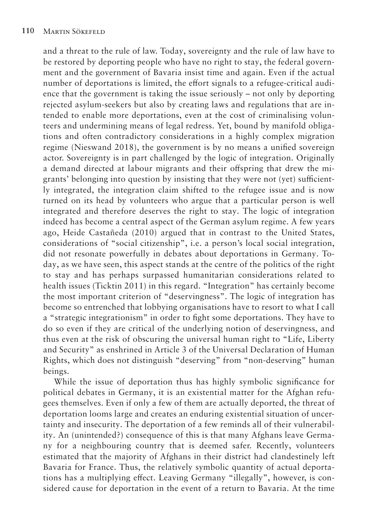and a threat to the rule of law. Today, sovereignty and the rule of law have to be restored by deporting people who have no right to stay, the federal government and the government of Bavaria insist time and again. Even if the actual number of deportations is limited, the effort signals to a refugee-critical audience that the government is taking the issue seriously – not only by deporting rejected asylum-seekers but also by creating laws and regulations that are intended to enable more deportations, even at the cost of criminalising volunteers and undermining means of legal redress. Yet, bound by manifold obligations and often contradictory considerations in a highly complex migration regime (Nieswand 2018), the government is by no means a unified sovereign actor. Sovereignty is in part challenged by the logic of integration. Originally a demand directed at labour migrants and their offspring that drew the migrants' belonging into question by insisting that they were not (yet) sufficiently integrated, the integration claim shifted to the refugee issue and is now turned on its head by volunteers who argue that a particular person is well integrated and therefore deserves the right to stay. The logic of integration indeed has become a central aspect of the German asylum regime. A few years ago, Heide Castañeda (2010) argued that in contrast to the United States, considerations of "social citizenship", i.e. a person's local social integration, did not resonate powerfully in debates about deportations in Germany. Today, as we have seen, this aspect stands at the centre of the politics of the right to stay and has perhaps surpassed humanitarian considerations related to health issues (Ticktin 2011) in this regard. "Integration" has certainly become the most important criterion of "deservingness". The logic of integration has become so entrenched that lobbying organisations have to resort to what I call a "strategic integrationism" in order to fight some deportations. They have to do so even if they are critical of the underlying notion of deservingness, and thus even at the risk of obscuring the universal human right to "Life, Liberty and Security" as enshrined in Article 3 of the Universal Declaration of Human Rights, which does not distinguish "deserving" from "non-deserving" human beings.

While the issue of deportation thus has highly symbolic significance for political debates in Germany, it is an existential matter for the Afghan refugees themselves. Even if only a few of them are actually deported, the threat of deportation looms large and creates an enduring existential situation of uncertainty and insecurity. The deportation of a few reminds all of their vulnerability. An (unintended?) consequence of this is that many Afghans leave Germany for a neighbouring country that is deemed safer. Recently, volunteers estimated that the majority of Afghans in their district had clandestinely left Bavaria for France. Thus, the relatively symbolic quantity of actual deportations has a multiplying effect. Leaving Germany "illegally", however, is considered cause for deportation in the event of a return to Bavaria. At the time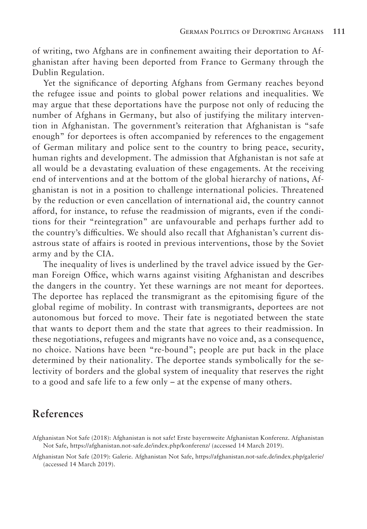of writing, two Afghans are in confinement awaiting their deportation to Afghanistan after having been deported from France to Germany through the Dublin Regulation.

Yet the significance of deporting Afghans from Germany reaches beyond the refugee issue and points to global power relations and inequalities. We may argue that these deportations have the purpose not only of reducing the number of Afghans in Germany, but also of justifying the military intervention in Afghanistan. The government's reiteration that Afghanistan is "safe enough" for deportees is often accompanied by references to the engagement of German military and police sent to the country to bring peace, security, human rights and development. The admission that Afghanistan is not safe at all would be a devastating evaluation of these engagements. At the receiving end of interventions and at the bottom of the global hierarchy of nations, Afghanistan is not in a position to challenge international policies. Threatened by the reduction or even cancellation of international aid, the country cannot afford, for instance, to refuse the readmission of migrants, even if the conditions for their "reintegration" are unfavourable and perhaps further add to the country's difficulties. We should also recall that Afghanistan's current disastrous state of affairs is rooted in previous interventions, those by the Soviet army and by the CIA.

The inequality of lives is underlined by the travel advice issued by the German Foreign Office, which warns against visiting Afghanistan and describes the dangers in the country. Yet these warnings are not meant for deportees. The deportee has replaced the transmigrant as the epitomising figure of the global regime of mobility. In contrast with transmigrants, deportees are not autonomous but forced to move. Their fate is negotiated between the state that wants to deport them and the state that agrees to their readmission. In these negotiations, refugees and migrants have no voice and, as a consequence, no choice. Nations have been "re-bound"; people are put back in the place determined by their nationality. The deportee stands symbolically for the selectivity of borders and the global system of inequality that reserves the right to a good and safe life to a few only – at the expense of many others.

# **References**

Afghanistan Not Safe (2019): Galerie. Afghanistan Not Safe, https://afghanistan.not-safe.de/index.php/galerie/ (accessed 14 March 2019).

Afghanistan Not Safe (2018): Afghanistan is not safe! Erste bayernweite Afghanistan Konferenz. Afghanistan Not Safe, https://afghanistan.not-safe.de/index.php/konferenz/ (accessed 14 March 2019).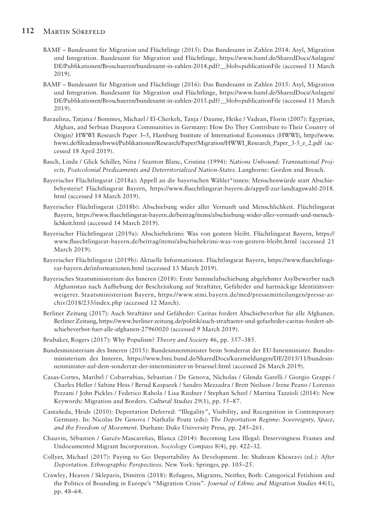#### **112** Martin Sökefeld

- BAMF Bundesamt für Migration und Flüchtlinge (2015): Das Bundesamt in Zahlen 2014: Asyl, Migration und Integration. Bundesamt für Migration und Flüchtlinge, https://www.bamf.de/SharedDocs/Anlagen/ DE/Publikationen/Broschueren/bundesamt-in-zahlen-2014.pdf?\_\_blob=publicationFile (accessed 11 March 2019).
- BAMF Bundesamt für Migration und Flüchtlinge (2016): Das Bundesamt in Zahlen 2015: Asyl, Migration und Integration. Bundesamt für Migration und Flüchtlinge, https://www.bamf.de/SharedDocs/Anlagen/ DE/Publikationen/Broschueren/bundesamt-in-zahlen-2015.pdf?\_\_blob=publicationFile (accessed 11 March 2019).
- Baraulina, Tatjana / Bommes, Michael / El-Cherkeh, Tanja / Daume, Heike / Vadean, Florin (2007): Egyptian, Afghan, and Serbian Diaspora Communities in Germany: How Do They Contribute to Their Country of Origin? HWWI Research Paper 3–5, Hamburg Institute of International Economics (HWWI), http://www. hwwi.de/fileadmin/hwwi/Publikationen/Research/Paper/Migration/HWWI\_Research\_Paper\_3-5\_e\_2.pdf (accessed 18 April 2019).
- Basch, Linda / Glick Schiller, Nina / Szanton Blanc, Cristina (1994): *Nations Unbound: Transnational Projects, Postcolonial Predicaments and Deterritorialized Nation-States*. Langhorne: Gordon and Breach.
- Bayerischer Flüchtlingsrat (2018a): Appell an die bayerischen Wähler\*innen: Menschenwürde statt Abschiebehysterie! Flüchtlingsrat Bayern, https://www.fluechtlingsrat-bayern.de/appell-zur-landtagswahl-2018. html (accessed 14 March 2019).
- Bayerischer Flüchtlingsrat (2018b): Abschiebung wider aller Vernunft und Menschlichkeit. Flüchtlingsrat Bayern, https://www.fluechtlingsrat-bayern.de/beitrag/items/abschiebung-wider-aller-vernunft-und-menschlichkeit.html (accessed 14 March 2019).
- Bayerischer Flüchtlingsrat (2019a): Abschiebekrimi: Was von gestern bleibt. Flüchtlingsrat Bayern, https:// www.fluechtlingsrat-bayern.de/beitrag/items/abschiebekrimi-was-von-gestern-bleibt.html (accessed 21 March 2019).
- Bayerischer Flüchtlingsrat (2019b): Aktuelle Informationen. Flüchtlingsrat Bayern, https://www.fluechtlingsrat-bayern.de/informationen.html (accessed 13 March 2019).
- Bayerisches Staatsministerium des Inneren (2018): Erste Sammelabschiebung abgelehnter Asylbewerber nach Afghanistan nach Aufhebung der Beschränkung auf Straftäter, Gefährder und hartnäckige Identitätsverweigerer. Staatsministerium Bayern, https://www.stmi.bayern.de/med/pressemitteilungen/presse-archiv/2018/235/index.php (accessed 12 March).
- Berliner Zeitung (2017): Auch Straftäter und Gefährder: Caritas fordert Abschiebeverbot für alle Afghanen. Berliner Zeitung, https://www.berliner-zeitung.de/politik/auch-straftaeter-und-gefaehrder-caritas-fordert-abschiebeverbot-fuer-alle-afghanen-27960020 (accessed 9 March 2019).
- Brubaker, Rogers (2017): Why Populism? *Theory and Society* 46, pp. 357–385.
- Bundesministerium des Inneren (2015): Bundesinnenminister beim Sonderrat der EU-Innenminister. Bundesministerium des Inneren, https://www.bmi.bund.de/SharedDocs/kurzmeldungen/DE/2015/11/bundesinnenminister-auf-dem-sonderrat-der-innenminister-in-bruessel.html (accessed 26 March 2019).
- Casas-Cortes, Maribel / Cobarrubias, Sebastian / De Genova, Nicholas / Glenda Garelli / Giorgio Grappi / Charles Heller / Sabine Hess / Bernd Kasparek / Sandro Mezzadra / Brett Neilson / Irene Peano / Lorenzo Pezzani / John Pickles / Federico Rahola / Lisa Riedner / Stephan Scheel / Martina Tazzioli (2014): New Keywords: Migration and Borders. *Cultural Studies* 29(1), pp. 55–87.
- Castañeda, Heide (2010): Deportation Deferred: "Illegality", Visibility, and Recognition in Contemporary Germany. In: Nicolas De Genova / Nathalie Peutz (eds): *The Deportation Regime: Sovereignty, Space, and the Freedom of Movement*. Durham: Duke University Press, pp. 245–261.
- Chauvin, Sébastien / Garcés-Mascareñas, Blanca (2014): Becoming Less Illegal: Deservingness Frames and Undocumented Migrant Incorporation. *Sociology Compass* 8(4), pp. 422–32.
- Collyer, Michael (2017): Paying to Go: Deportability As Development. In: Shahram Khosravi (ed.): *After Deportation. Ethnographic Perspectives*. New York: Springer, pp. 105–25.
- Crawley, Heaven / Skleparis, Dimitris (2018): Refugees, Migrants, Neither, Both: Categorical Fetishism and the Politics of Bounding in Europe's "Migration Crisis". *Journal of Ethnic and Migration Studies* 44(1), pp. 48–64.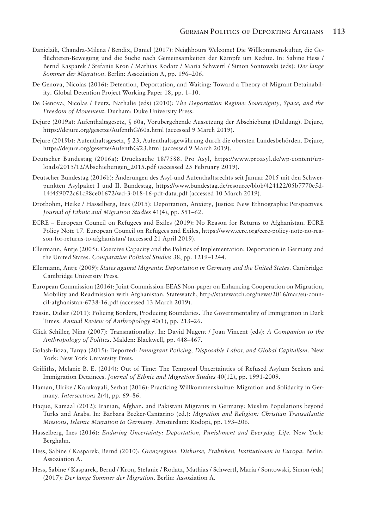- Danielzik, Chandra-Milena / Bendix, Daniel (2017): Neighbours Welcome! Die Willkommenskultur, die Geflüchteten-Bewegung und die Suche nach Gemeinsamkeiten der Kämpfe um Rechte. In: Sabine Hess / Bernd Kasparek / Stefanie Kron / Mathias Rodatz / Maria Schwertl / Simon Sontowski (eds): *Der lange Sommer der Migration*. Berlin: Assoziation A, pp. 196–206.
- De Genova, Nicolas (2016): Detention, Deportation, and Waiting: Toward a Theory of Migrant Detainability. Global Detention Project Working Paper 18, pp. 1–10.
- De Genova, Nicolas / Peutz, Nathalie (eds) (2010): *The Deportation Regime: Sovereignty, Space, and the Freedom of Movement*. Durham: Duke University Press.
- Dejure (2019a): Aufenthaltsgesetz, § 60a, Vorübergehende Aussetzung der Abschiebung (Duldung). Dejure, https://dejure.org/gesetze/AufenthG/60a.html (accessed 9 March 2019).
- Dejure (2019b): Aufenthaltsgesetz, § 23, Aufenthaltsgewährung durch die obersten Landesbehörden. Dejure, https://dejure.org/gesetze/AufenthG/23.html (accessed 9 March 2019).
- Deutscher Bundestag (2016a): Drucksache 18/7588. Pro Asyl, https://www.proasyl.de/wp-content/uploads/2015/12/Abschiebungen\_2015.pdf (accessed 25 February 2019).
- Deutscher Bundestag (2016b): Änderungen des Asyl-und Aufenthaltsrechts seit Januar 2015 mit den Schwerpunkten Asylpaket I und II. Bundestag, https://www.bundestag.de/resource/blob/424122/05b7770e5d-14f459072c61c98ce01672/wd-3-018-16-pdf-data.pdf (accessed 10 March 2019).
- Drotbohm, Heike / Hasselberg, Ines (2015): Deportation, Anxiety, Justice: New Ethnographic Perspectives. *Journal of Ethnic and Migration Studies* 41(4), pp. 551–62.
- ECRE European Council on Refugees and Exiles (2019): No Reason for Returns to Afghanistan. ECRE Policy Note 17. European Council on Refugees and Exiles, https://www.ecre.org/ecre-policy-note-no-reason-for-returns-to-afghanistan/ (accessed 21 April 2019).
- Ellermann, Antje (2005): Coercive Capacity and the Politics of Implementation: Deportation in Germany and the United States. *Comparative Political Studies* 38, pp. 1219–1244.
- Ellermann, Antje (2009): *States against Migrants: Deportation in Germany and the United States*. Cambridge: Cambridge University Press.
- European Commission (2016): Joint Commission-EEAS Non-paper on Enhancing Cooperation on Migration, Mobility and Readmission with Afghanistan. Statewatch, http://statewatch.org/news/2016/mar/eu-council-afghanistan-6738-16.pdf (accessed 13 March 2019).
- Fassin, Didier (2011): Policing Borders, Producing Boundaries. The Governmentality of Immigration in Dark Times. *Annual Review of Anthropology* 40(1), pp. 213–26.
- Glick Schiller, Nina (2007): Transnationality. In: David Nugent / Joan Vincent (eds): *A Companion to the Anthropology of Politics*. Malden: Blackwell, pp. 448–467.
- Golash-Boza, Tanya (2015): Deported: *Immigrant Policing, Disposable Labor, and Global Capitalism*. New York: New York University Press.
- Griffiths, Melanie B. E. (2014): Out of Time: The Temporal Uncertainties of Refused Asylum Seekers and Immigration Detainees. *Journal of Ethnic and Migration Studies* 40(12), pp. 1991-2009.
- Haman, Ulrike / Karakayali, Serhat (2016): Practicing Willkommenskultur: Migration and Solidarity in Germany. *Intersections* 2(4), pp. 69–86.
- Haque, Kamaal (2012): Iranian, Afghan, and Pakistani Migrants in Germany: Muslim Populations beyond Turks and Arabs. In: Barbara Becker-Cantarino (ed.): *Migration and Religion: Christian Transatlantic Missions, Islamic Migration to Germany*. Amsterdam: Rodopi, pp. 193–206.
- Hasselberg, Ines (2016): *Enduring Uncertainty: Deportation, Punishment and Everyday Life*. New York: Berghahn.
- Hess, Sabine / Kasparek, Bernd (2010): *Grenzregime. Diskurse, Praktiken, Institutionen in Europa*. Berlin: Assoziation A.
- Hess, Sabine / Kasparek, Bernd / Kron, Stefanie / Rodatz, Mathias / Schwertl, Maria / Sontowski, Simon (eds) (2017): *Der lange Sommer der Migration*. Berlin: Assoziation A.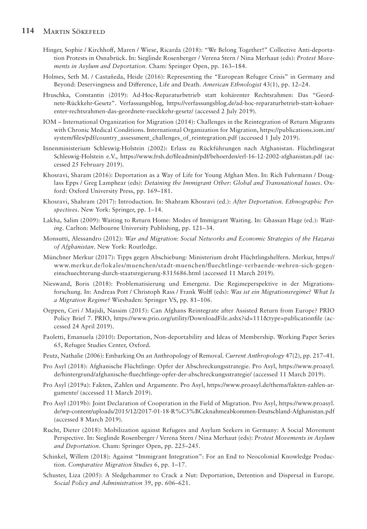#### **114** Martin Sökefeld

- Hinger, Sophie / Kirchhoff, Maren / Wiese, Ricarda (2018): "We Belong Together!" Collective Anti-deportation Protests in Osnabrück. In: Sieglinde Rosenberger / Verena Stern / Nina Merhaut (eds): *Protest Movements in Asylum and Deportation*. Cham: Springer Open, pp. 163–184.
- Holmes, Seth M. / Castañeda, Heide (2016): Representing the "European Refugee Crisis" in Germany and Beyond: Deservingness and Difference, Life and Death. *American Ethnologist* 43(1), pp. 12–24.
- Hruschka, Constantin (2019): Ad-Hoc-Reparaturbetrieb statt kohärenter Rechtsrahmen: Das "Geordnete-Rückkehr-Gesetz". Verfassungsblog, https://verfassungsblog.de/ad-hoc-reparaturbetrieb-statt-kohaerenter-rechtsrahmen-das-geordnete-rueckkehr-gesetz/ (accessed 2 July 2019).
- IOM International Organization for Migration (2014): Challenges in the Reintegration of Return Migrants with Chronic Medical Conditions. International Organization for Migration, https://publications.iom.int/ system/files/pdf/country\_assessment\_challenges\_of\_reintegration.pdf (accessed 1 July 2019).
- Innenministerium Schleswig-Holstein (2002): Erlass zu Rückführungen nach Afghanistan. Flüchtlingsrat Schleswig-Holstein e.V., https://www.frsh.de/fileadmin/pdf/behoerden/erl-16-12-2002-afghanistan.pdf (accessed 25 February 2019).
- Khosravi, Sharam (2016): Deportation as a Way of Life for Young Afghan Men. In: Rich Fuhrmann / Douglass Epps / Greg Lamphear (eds): *Detaining the Immigrant Other: Global and Transnational Issues*. Oxford: Oxford University Press, pp. 169–181.
- Khosravi, Shahram (2017): Introduction. In: Shahram Khosravi (ed.): *After Deportation. Ethnographic Perspectives*. New York: Springer, pp. 1–14.
- Lakha, Salim (2009): Waiting to Return Home: Modes of Immigrant Waiting. In: Ghassan Hage (ed.): *Waiting*. Carlton: Melbourne University Publishing, pp. 121–34.
- Monsutti, Alessandro (2012): *War and Migration: Social Networks and Economic Strategies of the Hazaras of Afghanistan*. New York: Routledge.
- Münchner Merkur (2017): Tipps gegen Abschiebung: Ministerium droht Flüchtlingshelfern. Merkur, https:// www.merkur.de/lokales/muenchen/stadt-muenchen/fluechtlinge-verbaende-wehren-sich-gegeneinschuechterung-durch-staatsregierung-8315686.html (accessed 11 March 2019).
- Nieswand, Boris (2018): Problematisierung und Emergenz. Die Regimeperspektive in der Migrationsforschung. In: Andreas Pott / Christoph Rass / Frank Wolff (eds): *Was ist ein Migrationsregime? What Is a Migration Regime?* Wiesbaden: Springer VS, pp. 81–106.
- Oeppen, Ceri / Majidi, Nassim (2015): Can Afghans Reintegrate after Assisted Return from Europe? PRIO Policy Brief 7. PRIO, https://www.prio.org/utility/DownloadFile.ashx?id=111&type=publicationfile (accessed 24 April 2019).
- Paoletti, Emanuela (2010): Deportation, Non-deportability and Ideas of Membership. Working Paper Series 65, Refugee Studies Center, Oxford.
- Peutz, Nathalie (2006): Embarking On an Anthropology of Removal. *Current Anthropology* 47(2), pp. 217–41.
- Pro Asyl (2018): Afghanische Flüchtlinge: Opfer der Abschreckungsstrategie. Pro Asyl, https://www.proasyl. de/hintergrund/afghanische-fluechtlinge-opfer-der-abschreckungsstrategie/ (accessed 11 March 2019).
- Pro Asyl (2019a): Fakten, Zahlen und Argumente. Pro Asyl, https://www.proasyl.de/thema/fakten-zahlen-argumente/ (accessed 11 March 2019).
- Pro Asyl (2019b): Joint Declaration of Cooperation in the Field of Migration. Pro Asyl, https://www.proasyl. de/wp-content/uploads/2015/12/2017-01-18-R%C3%BCcknahmeabkommen-Deutschland-Afghanistan.pdf (accessed 8 March 2019).
- Rucht, Dieter (2018): Mobilization against Refugees and Asylum Seekers in Germany: A Social Movement Perspective. In: Sieglinde Rosenberger / Verena Stern / Nina Merhaut (eds): *Protest Movements in Asylum and Deportation*. Cham: Springer Open, pp. 225–245.
- Schinkel, Willem (2018): Against "Immigrant Integration": For an End to Neocolonial Knowledge Production. *Comparative Migration Studies* 6, pp. 1–17.
- Schuster, Liza (2005): A Sledgehammer to Crack a Nut: Deportation, Detention and Dispersal in Europe. *Social Policy and Administration* 39, pp. 606–621.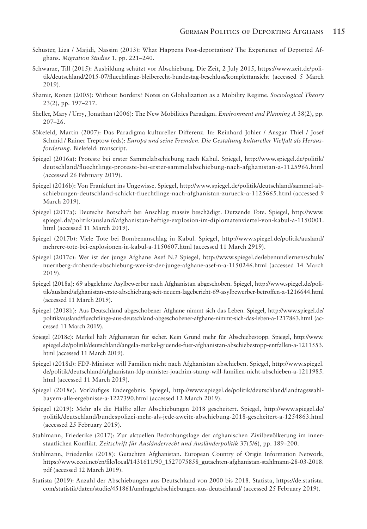- Schuster, Liza / Majidi, Nassim (2013): What Happens Post-deportation? The Experience of Deported Afghans. *Migration Studies* 1, pp. 221–240.
- Schwarze, Till (2015): Ausbildung schützt vor Abschiebung. Die Zeit, 2 July 2015, https://www.zeit.de/politik/deutschland/2015-07/fluechtlinge-bleiberecht-bundestag-beschluss/komplettansicht (accessed 5 March 2019).
- Shamir, Ronen (2005): Without Borders? Notes on Globalization as a Mobility Regime. *Sociological Theory*  23(2), pp. 197–217.
- Sheller, Mary / Urry, Jonathan (2006): The New Mobilities Paradigm. *Environment and Planning A* 38(2), pp. 207–26.
- Sökefeld, Martin (2007): Das Paradigma kultureller Differenz. In: Reinhard Johler / Ansgar Thiel / Josef Schmid / Rainer Treptow (eds): *Europa und seine Fremden. Die Gestaltung kultureller Vielfalt als Herausforderung*. Bielefeld: transcript.
- Spiegel (2016a): Proteste bei erster Sammelabschiebung nach Kabul. Spiegel, http://www.spiegel.de/politik/ deutschland/fluechtlinge-proteste-bei-erster-sammelabschiebung-nach-afghanistan-a-1125966.html (accessed 26 February 2019).
- Spiegel (2016b): Von Frankfurt ins Ungewisse. Spiegel, http://www.spiegel.de/politik/deutschland/sammel-abschiebungen-deutschland-schickt-fluechtlinge-nach-afghanistan-zurueck-a-1125665.html (accessed 9 March 2019).
- Spiegel (2017a): Deutsche Botschaft bei Anschlag massiv beschädigt. Dutzende Tote. Spiegel, http://www. spiegel.de/politik/ausland/afghanistan-heftige-explosion-im-diplomatenviertel-von-kabul-a-1150001. html (accessed 11 March 2019).
- Spiegel (2017b): Viele Tote bei Bombenanschlag in Kabul. Spiegel, http://www.spiegel.de/politik/ausland/ mehrere-tote-bei-explosionen-in-kabul-a-1150607.html (accessed 11 March 2919).
- Spiegel (2017c): Wer ist der junge Afghane Asef N.? Spiegel, http://www.spiegel.de/lebenundlernen/schule/ nuernberg-drohende-abschiebung-wer-ist-der-junge-afghane-asef-n-a-1150246.html (accessed 14 March 2019).
- Spiegel (2018a): 69 abgelehnte Asylbewerber nach Afghanistan abgeschoben. Spiegel, http://www.spiegel.de/politik/ausland/afghanistan-erste-abschiebung-seit-neuem-lagebericht-69-asylbewerber-betroffen-a-1216644.html (accessed 11 March 2019).
- Spiegel (2018b): Aus Deutschland abgeschobener Afghane nimmt sich das Leben. Spiegel, http://www.spiegel.de/ politik/ausland/fluechtlinge-aus-deutschland-abgeschobener-afghane-nimmt-sich-das-leben-a-1217863.html (accessed 11 March 2019).
- Spiegel (2018c): Merkel hält Afghanistan für sicher. Kein Grund mehr für Abschiebestopp. Spiegel, http://www. spiegel.de/politik/deutschland/angela-merkel-gruende-fuer-afghanistan-abschiebestopp-entfallen-a-1211553. html (accessed 11 March 2019).
- Spiegel (2018d): FDP-Minister will Familien nicht nach Afghanistan abschieben. Spiegel, http://www.spiegel. de/politik/deutschland/afghanistan-fdp-minister-joachim-stamp-will-familien-nicht-abschieben-a-1211985. html (accessed 11 March 2019).
- Spiegel (2018e): Vorläufiges Endergebnis. Spiegel, http://www.spiegel.de/politik/deutschland/landtagswahlbayern-alle-ergebnisse-a-1227390.html (accessed 12 March 2019).
- Spiegel (2019): Mehr als die Hälfte aller Abschiebungen 2018 gescheitert. Spiegel, http://www.spiegel.de/ politik/deutschland/bundespolizei-mehr-als-jede-zweite-abschiebung-2018-gescheitert-a-1254863.html (accessed 25 February 2019).
- Stahlmann, Friederike (2017): Zur aktuellen Bedrohungslage der afghanischen Zivilbevölkerung im innerstaatlichen Konflikt. *Zeitschrift für Ausländerrecht und Ausländerpolitik* 37(5/6), pp. 189–200.
- Stahlmann, Friederike (2018): Gutachten Afghanistan. European Country of Origin Information Network, https://www.ecoi.net/en/file/local/1431611/90\_1527075858\_gutachten-afghanistan-stahlmann-28-03-2018. pdf (accessed 12 March 2019).
- Statista (2019): Anzahl der Abschiebungen aus Deutschland von 2000 bis 2018. Statista, https://de.statista. com/statistik/daten/studie/451861/umfrage/abschiebungen-aus-deutschland/ (accessed 25 February 2019).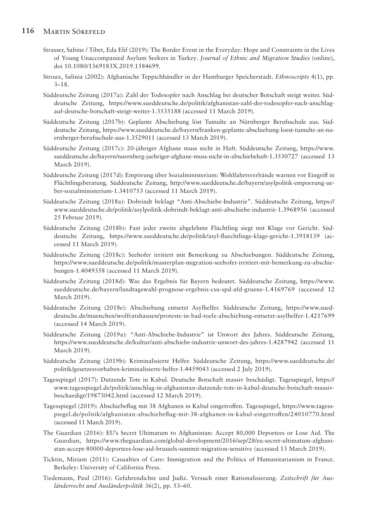- Strasser, Sabine / Tibet, Eda Elif (2019): The Border Event in the Everyday: Hope and Constraints in the Lives of Young Unaccompanied Asylum Seekers in Turkey. *Journal of Ethnic and Migration Studies* (online), doi 10.1080/1369183X.2019.1584699.
- Stroux, Salinia (2002): Afghanische Teppichhändler in der Hamburger Speicherstadt. *Ethnoscripts* 4(1), pp. 3–18.
- Süddeutsche Zeitung (2017a): Zahl der Todesopfer nach Anschlag bei deutscher Botschaft steigt weiter. Süddeutsche Zeitung, https://www.sueddeutsche.de/politik/afghanistan-zahl-der-todesopfer-nach-anschlagauf-deutsche-botschaft-steigt-weiter-1.3535188 (accessed 11 March 2019).
- Süddeutsche Zeitung (2017b): Geplante Abschiebung löst Tumulte an Nürnberger Berufsschule aus. Süddeutsche Zeitung, https://www.sueddeutsche.de/bayern/franken-geplante-abschiebung-loest-tumulte-an-nuernberger-berufsschule-aus-1.3529011 (accessed 13 March 2019).
- Süddeutsche Zeitung (2017c): 20-jähriger Afghane muss nicht in Haft. Süddeutsche Zeitung, https://www. sueddeutsche.de/bayern/nuernberg-jaehriger-afghane-muss-nicht-in-abschiebehaft-1.3530727 (accessed 13 March 2019).
- Süddeutsche Zeitung (2017d): Empörung über Sozialministerium: Wohlfahrtsverbände warnen vor Eingriff in Flüchtlingsberatung. Süddeutsche Zeitung, http://www.sueddeutsche.de/bayern/asylpolitik-empoerung-ueber-sozialministerium-1.3410753 (accessed 11 March 2019).
- Süddeutsche Zeitung (2018a): Dobrindt beklagt "Anti-Abschiebe-Industrie". Süddeutsche Zeitung, https:// www.sueddeutsche.de/politik/asylpolitik-dobrindt-beklagt-anti-abschiebe-industrie-1.3968956 (accessed 25 Februar 2019).
- Süddeutsche Zeitung (2018b): Fast jeder zweite abgelehnte Flüchtling siegt mit Klage vor Gericht. Süddeutsche Zeitung, https://www.sueddeutsche.de/politik/asyl-fluechtlinge-klage-gericht-1.3918139 (accessed 11 March 2019).
- Süddeutsche Zeitung (2018c): Seehofer irritiert mit Bemerkung zu Abschiebungen. Süddeutsche Zeitung, https://www.sueddeutsche.de/politik/masterplan-migration-seehofer-irritiert-mit-bemerkung-zu-abschiebungen-1.4049358 (accessed 11 March 2019).
- Süddeutsche Zeitung (2018d): Was das Ergebnis für Bayern bedeutet. Süddeutsche Zeitung, https://www. sueddeutsche.de/bayern/landtagswahl-prognose-ergebnis-csu-spd-afd-gruene-1.4169769 (accessed 12 March 2019).
- Süddeutsche Zeitung (2018e): Abschiebung entsetzt Asylhelfer. Süddeutsche Zeitung, https://www.sueddeutsche.de/muenchen/wolfratshausen/proteste-in-bad-toelz-abschiebung-entsetzt-asylhelfer-1.4217699 (accessed 14 March 2019).
- Süddeutsche Zeitung (2019a): "Anti-Abschiebe-Industrie" ist Unwort des Jahres. Süddeutsche Zeitung, https://www.sueddeutsche.de/kultur/anti-abschiebe-industrie-unwort-des-jahres-1.4287942 (accessed 11 March 2019).
- Süddeutsche Zeitung (2019b): Kriminalisierte Helfer. Süddeutsche Zeitung, https://www.sueddeutsche.de/ politik/gesetzesvorhaben-kriminalisierte-helfer-1.4459043 (accessed 2 July 2019).
- Tagesspiegel (2017): Dutzende Tote in Kabul. Deutsche Botschaft massiv beschädigt. Tagesspiegel, https:// www.tagesspiegel.de/politik/anschlag-in-afghanistan-dutzende-tote-in-kabul-deutsche-botschaft-massivbeschaedigt/19873042.html (accessed 12 March 2019).
- Tagesspiegel (2019): Abschiebeflug mit 38 Afghanen in Kabul eingetroffen. Tagesspiegel, https://www.tagesspiegel.de/politik/afghanistan-abschiebeflug-mit-38-afghanen-in-kabul-eingetroffen/24010770.html (accessed 11 March 2019).
- The Guardian (2016): EU's Secret Ultimatum to Afghanistan: Accept 80,000 Deportees or Lose Aid. The Guardian, https://www.theguardian.com/global-development/2016/sep/28/eu-secret-ultimatum-afghanistan-accept-80000-deportees-lose-aid-brussels-summit-migration-sensitive (accessed 13 March 2019).
- Ticktin, Miriam (2011): Casualties of Care: Immigration and the Politics of Humanitarianism in France. Berkeley: University of California Press.
- Tiedemann, Paul (2016): Gefahrendichte und Judiz. Versuch einer Rationalisierung. *Zeitschrift für Ausländerrecht und Ausländerpolitik* 36(2), pp. 53–60.